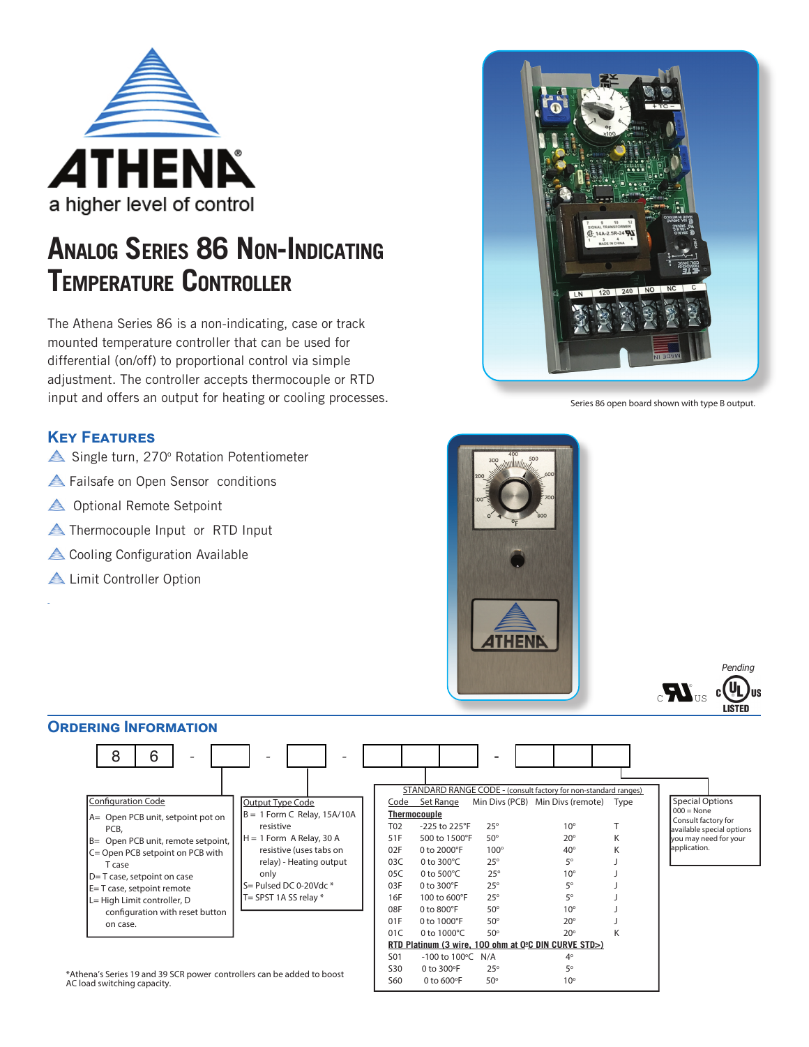

## **ANALOG SERIES 86 NON-INDICATING TEMPERATURE CONTROLLER**

The Athena Series 86 is a non-indicating, case or track mounted temperature controller that can be used for differential (on/off) to proportional control via simple adjustment. The controller accepts thermocouple or RTD input and offers an output for heating or cooling processes.

## **KEY FEATURES**

- Single turn, 270° Rotation Potentiometer
- **A** Failsafe on Open Sensor conditions
- **A** Optional Remote Setpoint
- **A** Thermocouple Input or RTD Input
- $\triangle$  Cooling Configuration Available
- **ALL**imit Controller Option

-



Series 86 open board shown with type B output.



## **ORDERING INFORMATION**



 $0$  to  $600^\circ F$ 

 $50^\circ$ 

\*Athena's Series 19 and 39 SCR power controllers can be added to boost  $\begin{array}{ccc} 50 & 0 \text{ to } 300^{\circ}F & 25^{\circ} \\ 2.50 & 0 \text{ to } 600^{\circ}F & 50^{\circ} \end{array}$ AC load switching capacity.